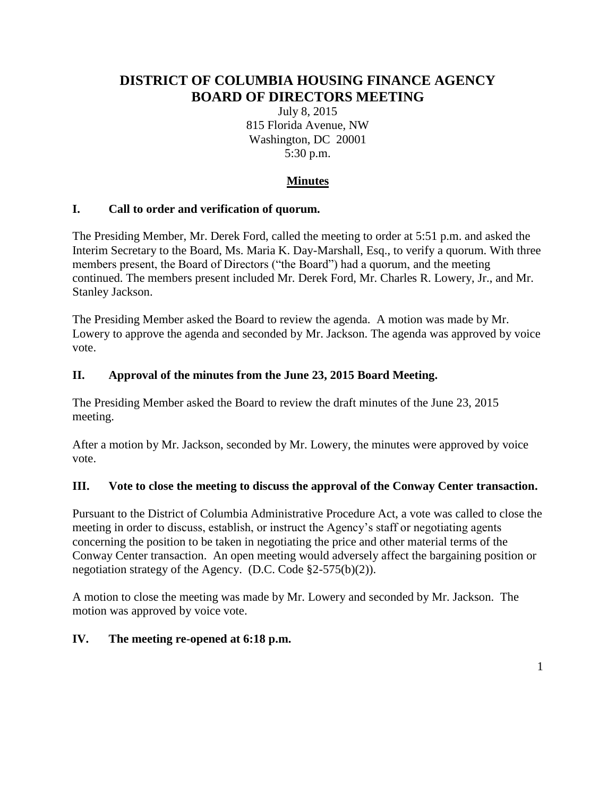# **DISTRICT OF COLUMBIA HOUSING FINANCE AGENCY BOARD OF DIRECTORS MEETING**

July 8, 2015 815 Florida Avenue, NW Washington, DC 20001 5:30 p.m.

# **Minutes**

### **I. Call to order and verification of quorum.**

The Presiding Member, Mr. Derek Ford, called the meeting to order at 5:51 p.m. and asked the Interim Secretary to the Board, Ms. Maria K. Day-Marshall, Esq., to verify a quorum. With three members present, the Board of Directors ("the Board") had a quorum, and the meeting continued. The members present included Mr. Derek Ford, Mr. Charles R. Lowery, Jr., and Mr. Stanley Jackson.

The Presiding Member asked the Board to review the agenda. A motion was made by Mr. Lowery to approve the agenda and seconded by Mr. Jackson. The agenda was approved by voice vote.

#### **II. Approval of the minutes from the June 23, 2015 Board Meeting.**

The Presiding Member asked the Board to review the draft minutes of the June 23, 2015 meeting.

After a motion by Mr. Jackson, seconded by Mr. Lowery, the minutes were approved by voice vote.

#### **III. Vote to close the meeting to discuss the approval of the Conway Center transaction.**

Pursuant to the District of Columbia Administrative Procedure Act, a vote was called to close the meeting in order to discuss, establish, or instruct the Agency's staff or negotiating agents concerning the position to be taken in negotiating the price and other material terms of the Conway Center transaction. An open meeting would adversely affect the bargaining position or negotiation strategy of the Agency. (D.C. Code §2-575(b)(2)).

A motion to close the meeting was made by Mr. Lowery and seconded by Mr. Jackson. The motion was approved by voice vote.

### **IV. The meeting re-opened at 6:18 p.m.**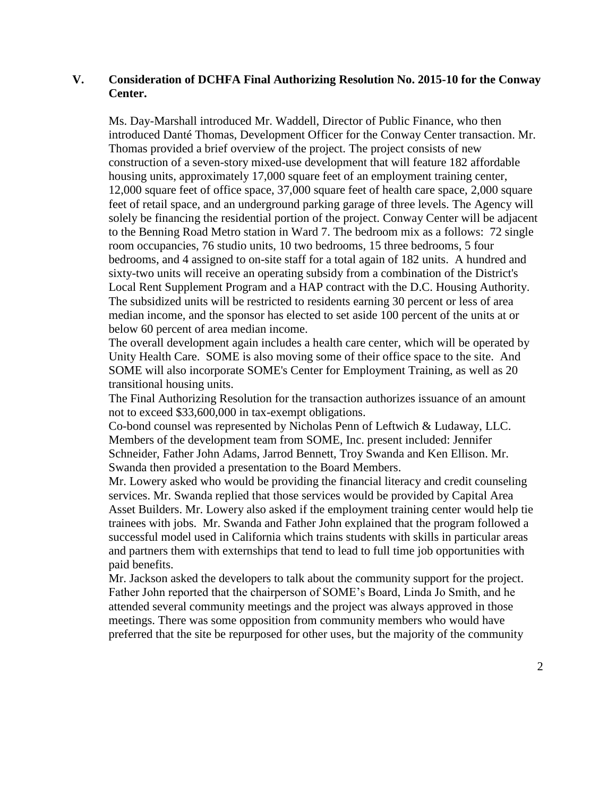#### **V. Consideration of DCHFA Final Authorizing Resolution No. 2015-10 for the Conway Center.**

Ms. Day-Marshall introduced Mr. Waddell, Director of Public Finance, who then introduced Danté Thomas, Development Officer for the Conway Center transaction. Mr. Thomas provided a brief overview of the project. The project consists of new construction of a seven-story mixed-use development that will feature 182 affordable housing units, approximately 17,000 square feet of an employment training center, 12,000 square feet of office space, 37,000 square feet of health care space, 2,000 square feet of retail space, and an underground parking garage of three levels. The Agency will solely be financing the residential portion of the project. Conway Center will be adjacent to the Benning Road Metro station in Ward 7. The bedroom mix as a follows: 72 single room occupancies, 76 studio units, 10 two bedrooms, 15 three bedrooms, 5 four bedrooms, and 4 assigned to on-site staff for a total again of 182 units. A hundred and sixty-two units will receive an operating subsidy from a combination of the District's Local Rent Supplement Program and a HAP contract with the D.C. Housing Authority. The subsidized units will be restricted to residents earning 30 percent or less of area median income, and the sponsor has elected to set aside 100 percent of the units at or below 60 percent of area median income.

The overall development again includes a health care center, which will be operated by Unity Health Care. SOME is also moving some of their office space to the site. And SOME will also incorporate SOME's Center for Employment Training, as well as 20 transitional housing units.

The Final Authorizing Resolution for the transaction authorizes issuance of an amount not to exceed \$33,600,000 in tax-exempt obligations.

Co-bond counsel was represented by Nicholas Penn of Leftwich & Ludaway, LLC. Members of the development team from SOME, Inc. present included: Jennifer Schneider, Father John Adams, Jarrod Bennett, Troy Swanda and Ken Ellison. Mr. Swanda then provided a presentation to the Board Members.

Mr. Lowery asked who would be providing the financial literacy and credit counseling services. Mr. Swanda replied that those services would be provided by Capital Area Asset Builders. Mr. Lowery also asked if the employment training center would help tie trainees with jobs. Mr. Swanda and Father John explained that the program followed a successful model used in California which trains students with skills in particular areas and partners them with externships that tend to lead to full time job opportunities with paid benefits.

Mr. Jackson asked the developers to talk about the community support for the project. Father John reported that the chairperson of SOME's Board, Linda Jo Smith, and he attended several community meetings and the project was always approved in those meetings. There was some opposition from community members who would have preferred that the site be repurposed for other uses, but the majority of the community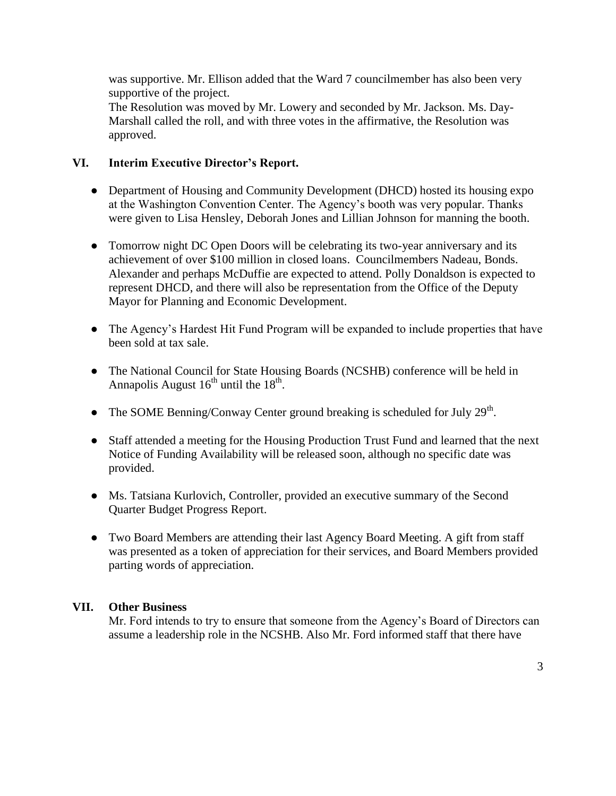was supportive. Mr. Ellison added that the Ward 7 councilmember has also been very supportive of the project.

The Resolution was moved by Mr. Lowery and seconded by Mr. Jackson. Ms. Day-Marshall called the roll, and with three votes in the affirmative, the Resolution was approved.

## **VI. Interim Executive Director's Report.**

- Department of Housing and Community Development (DHCD) hosted its housing expo at the Washington Convention Center. The Agency's booth was very popular. Thanks were given to Lisa Hensley, Deborah Jones and Lillian Johnson for manning the booth.
- Tomorrow night DC Open Doors will be celebrating its two-year anniversary and its achievement of over \$100 million in closed loans. Councilmembers Nadeau, Bonds. Alexander and perhaps McDuffie are expected to attend. Polly Donaldson is expected to represent DHCD, and there will also be representation from the Office of the Deputy Mayor for Planning and Economic Development.
- The Agency's Hardest Hit Fund Program will be expanded to include properties that have been sold at tax sale.
- The National Council for State Housing Boards (NCSHB) conference will be held in Annapolis August  $16^{th}$  until the  $18^{th}$ .
- The SOME Benning/Conway Center ground breaking is scheduled for July  $29<sup>th</sup>$ .
- Staff attended a meeting for the Housing Production Trust Fund and learned that the next Notice of Funding Availability will be released soon, although no specific date was provided.
- Ms. Tatsiana Kurlovich, Controller, provided an executive summary of the Second Quarter Budget Progress Report.
- Two Board Members are attending their last Agency Board Meeting. A gift from staff was presented as a token of appreciation for their services, and Board Members provided parting words of appreciation.

### **VII. Other Business**

Mr. Ford intends to try to ensure that someone from the Agency's Board of Directors can assume a leadership role in the NCSHB. Also Mr. Ford informed staff that there have